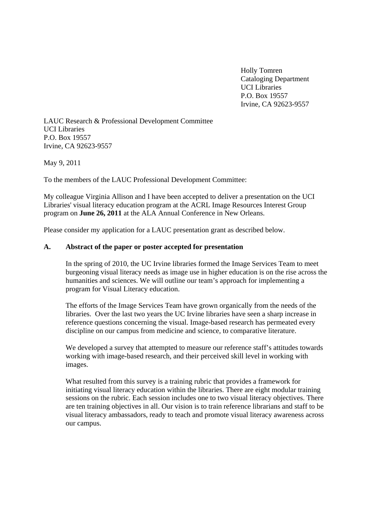Holly Tomren Cataloging Department UCI Libraries P.O. Box 19557 Irvine, CA 92623-9557

LAUC Research & Professional Development Committee UCI Libraries P.O. Box 19557 Irvine, CA 92623-9557

May 9, 2011

To the members of the LAUC Professional Development Committee:

My colleague Virginia Allison and I have been accepted to deliver a presentation on the UCI Libraries' visual literacy education program at the ACRL Image Resources Interest Group program on **June 26, 2011** at the ALA Annual Conference in New Orleans.

Please consider my application for a LAUC presentation grant as described below.

## **A. Abstract of the paper or poster accepted for presentation**

In the spring of 2010, the UC Irvine libraries formed the Image Services Team to meet burgeoning visual literacy needs as image use in higher education is on the rise across the humanities and sciences. We will outline our team's approach for implementing a program for Visual Literacy education.

The efforts of the Image Services Team have grown organically from the needs of the libraries. Over the last two years the UC Irvine libraries have seen a sharp increase in reference questions concerning the visual. Image-based research has permeated every discipline on our campus from medicine and science, to comparative literature.

We developed a survey that attempted to measure our reference staff's attitudes towards working with image-based research, and their perceived skill level in working with images.

What resulted from this survey is a training rubric that provides a framework for initiating visual literacy education within the libraries. There are eight modular training sessions on the rubric. Each session includes one to two visual literacy objectives. There are ten training objectives in all. Our vision is to train reference librarians and staff to be visual literacy ambassadors, ready to teach and promote visual literacy awareness across our campus.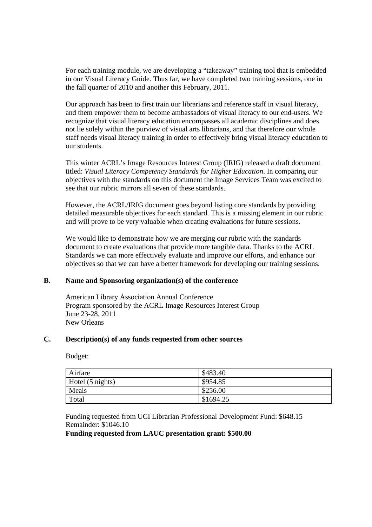For each training module, we are developing a "takeaway" training tool that is embedded in our Visual Literacy Guide. Thus far, we have completed two training sessions, one in the fall quarter of 2010 and another this February, 2011.

Our approach has been to first train our librarians and reference staff in visual literacy, and them empower them to become ambassadors of visual literacy to our end-users. We recognize that visual literacy education encompasses all academic disciplines and does not lie solely within the purview of visual arts librarians, and that therefore our whole staff needs visual literacy training in order to effectively bring visual literacy education to our students.

This winter ACRL's Image Resources Interest Group (IRIG) released a draft document titled: *Visual Literacy Competency Standards for Higher Education*. In comparing our objectives with the standards on this document the Image Services Team was excited to see that our rubric mirrors all seven of these standards.

However, the ACRL/IRIG document goes beyond listing core standards by providing detailed measurable objectives for each standard. This is a missing element in our rubric and will prove to be very valuable when creating evaluations for future sessions.

We would like to demonstrate how we are merging our rubric with the standards document to create evaluations that provide more tangible data. Thanks to the ACRL Standards we can more effectively evaluate and improve our efforts, and enhance our objectives so that we can have a better framework for developing our training sessions.

## **B. Name and Sponsoring organization(s) of the conference**

 American Library Association Annual Conference Program sponsored by the ACRL Image Resources Interest Group June 23-28, 2011 New Orleans

## **C. Description(s) of any funds requested from other sources**

Budget:

| Airfare          | \$483.40  |
|------------------|-----------|
| Hotel (5 nights) | \$954.85  |
| Meals            | \$256.00  |
| Total            | \$1694.25 |

 Funding requested from UCI Librarian Professional Development Fund: \$648.15 Remainder: \$1046.10

**Funding requested from LAUC presentation grant: \$500.00**